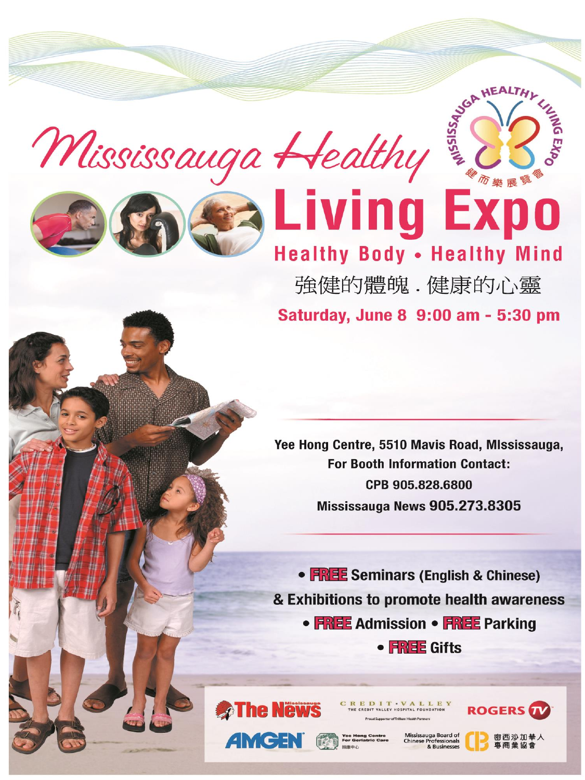Mississauga Healthy





## **Ex Living Ex Healthy Body . Healthy Mind**

強健的體魄 . 健康的心靈

Saturday, June 8 9:00 am - 5:30 pm

Yee Hong Centre, 5510 Mavis Road, MIssissauga, **For Booth Information Contact:** CPB 905.828.6800 Mississauga News 905.273.8305

• FREE Seminars (English & Chinese) & Exhibitions to promote health awareness

• FREE Admission • FREE Parking

 $\bullet$  FREE Gifts



**AMCEN** fra